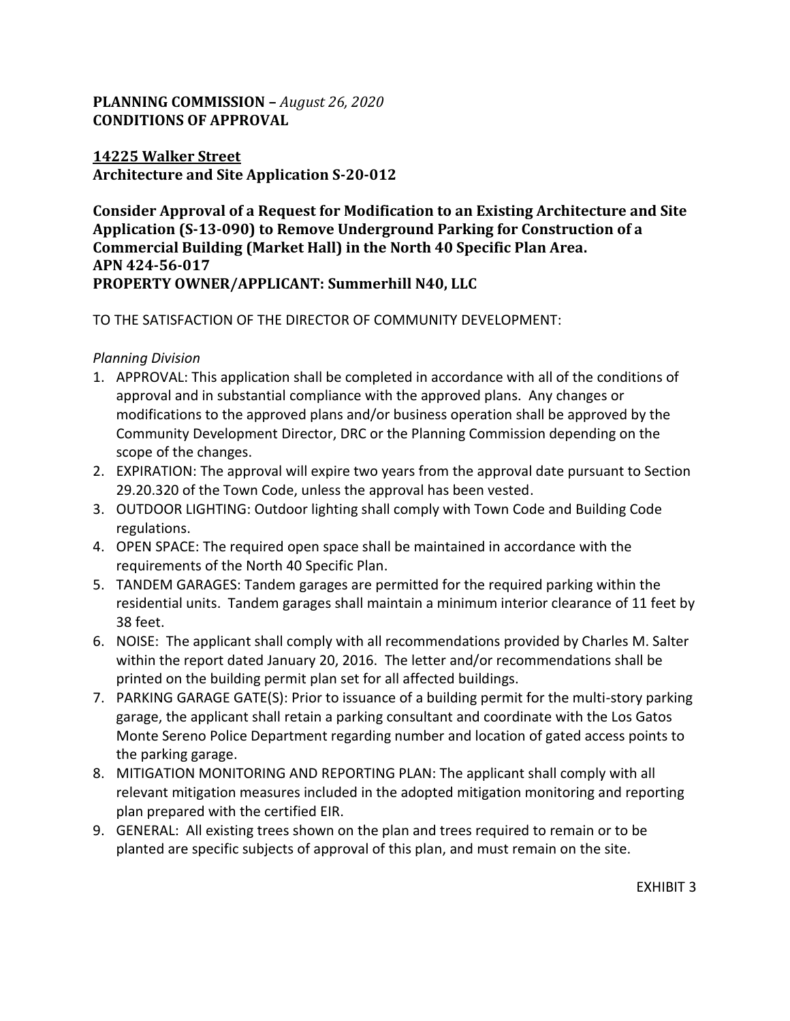# **PLANNING COMMISSION –** *August 26, 2020* **CONDITIONS OF APPROVAL**

### **14225 Walker Street Architecture and Site Application S-20-012**

**Consider Approval of a Request for Modification to an Existing Architecture and Site Application (S-13-090) to Remove Underground Parking for Construction of a Commercial Building (Market Hall) in the North 40 Specific Plan Area. APN 424-56-017 PROPERTY OWNER/APPLICANT: Summerhill N40, LLC**

## TO THE SATISFACTION OF THE DIRECTOR OF COMMUNITY DEVELOPMENT:

#### *Planning Division*

- 1. APPROVAL: This application shall be completed in accordance with all of the conditions of approval and in substantial compliance with the approved plans. Any changes or modifications to the approved plans and/or business operation shall be approved by the Community Development Director, DRC or the Planning Commission depending on the scope of the changes.
- 2. EXPIRATION: The approval will expire two years from the approval date pursuant to Section 29.20.320 of the Town Code, unless the approval has been vested.
- 3. OUTDOOR LIGHTING: Outdoor lighting shall comply with Town Code and Building Code regulations.
- 4. OPEN SPACE: The required open space shall be maintained in accordance with the requirements of the North 40 Specific Plan.
- 5. TANDEM GARAGES: Tandem garages are permitted for the required parking within the residential units. Tandem garages shall maintain a minimum interior clearance of 11 feet by 38 feet.
- 6. NOISE: The applicant shall comply with all recommendations provided by Charles M. Salter within the report dated January 20, 2016. The letter and/or recommendations shall be printed on the building permit plan set for all affected buildings.
- 7. PARKING GARAGE GATE(S): Prior to issuance of a building permit for the multi-story parking garage, the applicant shall retain a parking consultant and coordinate with the Los Gatos Monte Sereno Police Department regarding number and location of gated access points to the parking garage.
- 8. MITIGATION MONITORING AND REPORTING PLAN: The applicant shall comply with all relevant mitigation measures included in the adopted mitigation monitoring and reporting plan prepared with the certified EIR.
- 9. GENERAL: All existing trees shown on the plan and trees required to remain or to be planted are specific subjects of approval of this plan, and must remain on the site.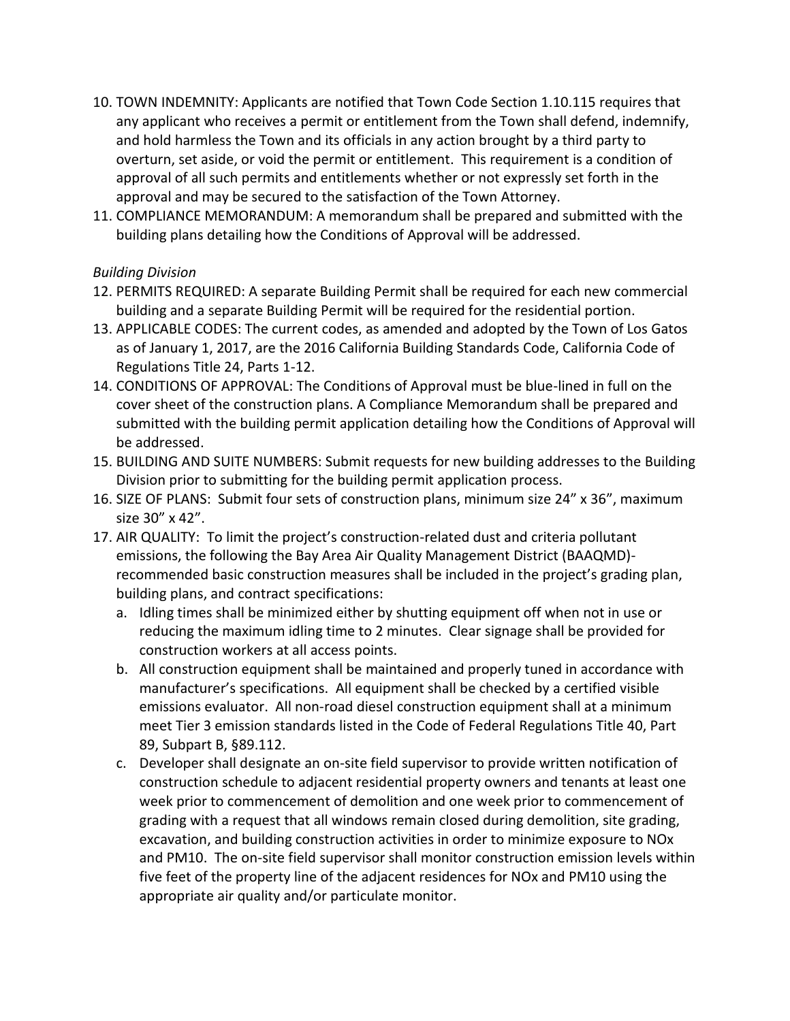- 10. TOWN INDEMNITY: Applicants are notified that Town Code Section 1.10.115 requires that any applicant who receives a permit or entitlement from the Town shall defend, indemnify, and hold harmless the Town and its officials in any action brought by a third party to overturn, set aside, or void the permit or entitlement. This requirement is a condition of approval of all such permits and entitlements whether or not expressly set forth in the approval and may be secured to the satisfaction of the Town Attorney.
- 11. COMPLIANCE MEMORANDUM: A memorandum shall be prepared and submitted with the building plans detailing how the Conditions of Approval will be addressed.

## *Building Division*

- 12. PERMITS REQUIRED: A separate Building Permit shall be required for each new commercial building and a separate Building Permit will be required for the residential portion.
- 13. APPLICABLE CODES: The current codes, as amended and adopted by the Town of Los Gatos as of January 1, 2017, are the 2016 California Building Standards Code, California Code of Regulations Title 24, Parts 1-12.
- 14. CONDITIONS OF APPROVAL: The Conditions of Approval must be blue-lined in full on the cover sheet of the construction plans. A Compliance Memorandum shall be prepared and submitted with the building permit application detailing how the Conditions of Approval will be addressed.
- 15. BUILDING AND SUITE NUMBERS: Submit requests for new building addresses to the Building Division prior to submitting for the building permit application process.
- 16. SIZE OF PLANS: Submit four sets of construction plans, minimum size 24" x 36", maximum size 30" x 42".
- 17. AIR QUALITY: To limit the project's construction-related dust and criteria pollutant emissions, the following the Bay Area Air Quality Management District (BAAQMD) recommended basic construction measures shall be included in the project's grading plan, building plans, and contract specifications:
	- a. Idling times shall be minimized either by shutting equipment off when not in use or reducing the maximum idling time to 2 minutes. Clear signage shall be provided for construction workers at all access points.
	- b. All construction equipment shall be maintained and properly tuned in accordance with manufacturer's specifications. All equipment shall be checked by a certified visible emissions evaluator. All non-road diesel construction equipment shall at a minimum meet Tier 3 emission standards listed in the Code of Federal Regulations Title 40, Part 89, Subpart B, §89.112.
	- c. Developer shall designate an on-site field supervisor to provide written notification of construction schedule to adjacent residential property owners and tenants at least one week prior to commencement of demolition and one week prior to commencement of grading with a request that all windows remain closed during demolition, site grading, excavation, and building construction activities in order to minimize exposure to NOx and PM10. The on-site field supervisor shall monitor construction emission levels within five feet of the property line of the adjacent residences for NOx and PM10 using the appropriate air quality and/or particulate monitor.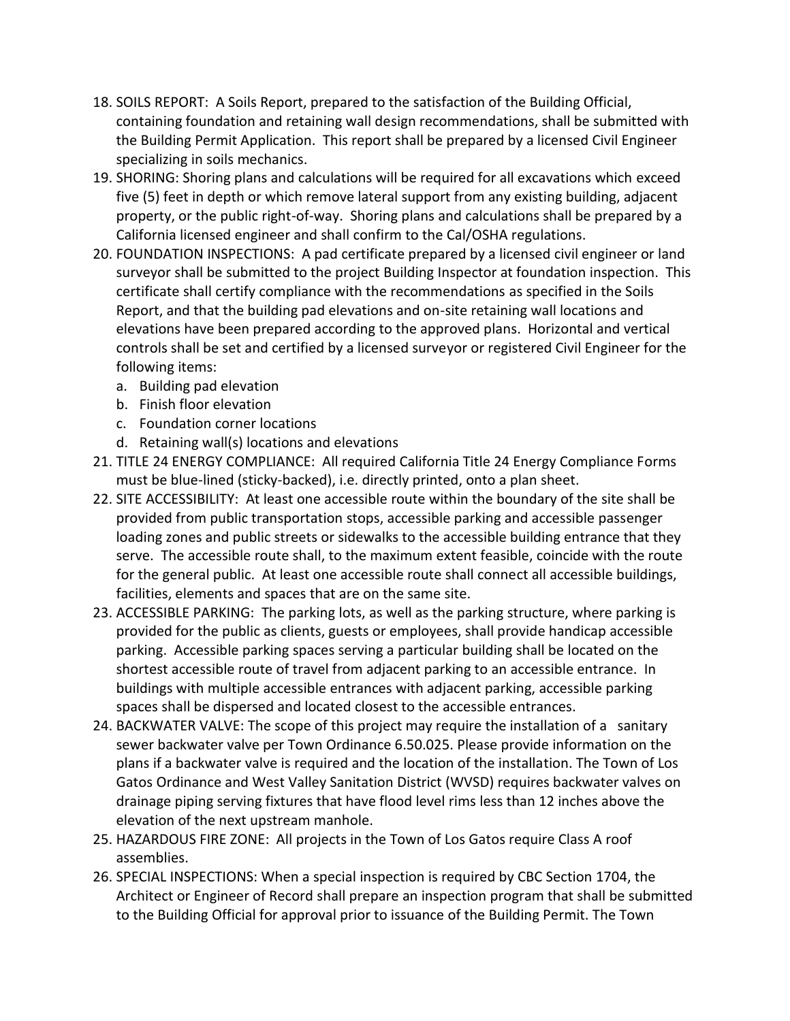- 18. SOILS REPORT: A Soils Report, prepared to the satisfaction of the Building Official, containing foundation and retaining wall design recommendations, shall be submitted with the Building Permit Application. This report shall be prepared by a licensed Civil Engineer specializing in soils mechanics.
- 19. SHORING: Shoring plans and calculations will be required for all excavations which exceed five (5) feet in depth or which remove lateral support from any existing building, adjacent property, or the public right-of-way. Shoring plans and calculations shall be prepared by a California licensed engineer and shall confirm to the Cal/OSHA regulations.
- 20. FOUNDATION INSPECTIONS: A pad certificate prepared by a licensed civil engineer or land surveyor shall be submitted to the project Building Inspector at foundation inspection. This certificate shall certify compliance with the recommendations as specified in the Soils Report, and that the building pad elevations and on-site retaining wall locations and elevations have been prepared according to the approved plans. Horizontal and vertical controls shall be set and certified by a licensed surveyor or registered Civil Engineer for the following items:
	- a. Building pad elevation
	- b. Finish floor elevation
	- c. Foundation corner locations
	- d. Retaining wall(s) locations and elevations
- 21. TITLE 24 ENERGY COMPLIANCE: All required California Title 24 Energy Compliance Forms must be blue-lined (sticky-backed), i.e. directly printed, onto a plan sheet.
- 22. SITE ACCESSIBILITY: At least one accessible route within the boundary of the site shall be provided from public transportation stops, accessible parking and accessible passenger loading zones and public streets or sidewalks to the accessible building entrance that they serve. The accessible route shall, to the maximum extent feasible, coincide with the route for the general public. At least one accessible route shall connect all accessible buildings, facilities, elements and spaces that are on the same site.
- 23. ACCESSIBLE PARKING: The parking lots, as well as the parking structure, where parking is provided for the public as clients, guests or employees, shall provide handicap accessible parking. Accessible parking spaces serving a particular building shall be located on the shortest accessible route of travel from adjacent parking to an accessible entrance. In buildings with multiple accessible entrances with adjacent parking, accessible parking spaces shall be dispersed and located closest to the accessible entrances.
- 24. BACKWATER VALVE: The scope of this project may require the installation of a sanitary sewer backwater valve per Town Ordinance 6.50.025. Please provide information on the plans if a backwater valve is required and the location of the installation. The Town of Los Gatos Ordinance and West Valley Sanitation District (WVSD) requires backwater valves on drainage piping serving fixtures that have flood level rims less than 12 inches above the elevation of the next upstream manhole.
- 25. HAZARDOUS FIRE ZONE: All projects in the Town of Los Gatos require Class A roof assemblies.
- 26. SPECIAL INSPECTIONS: When a special inspection is required by CBC Section 1704, the Architect or Engineer of Record shall prepare an inspection program that shall be submitted to the Building Official for approval prior to issuance of the Building Permit. The Town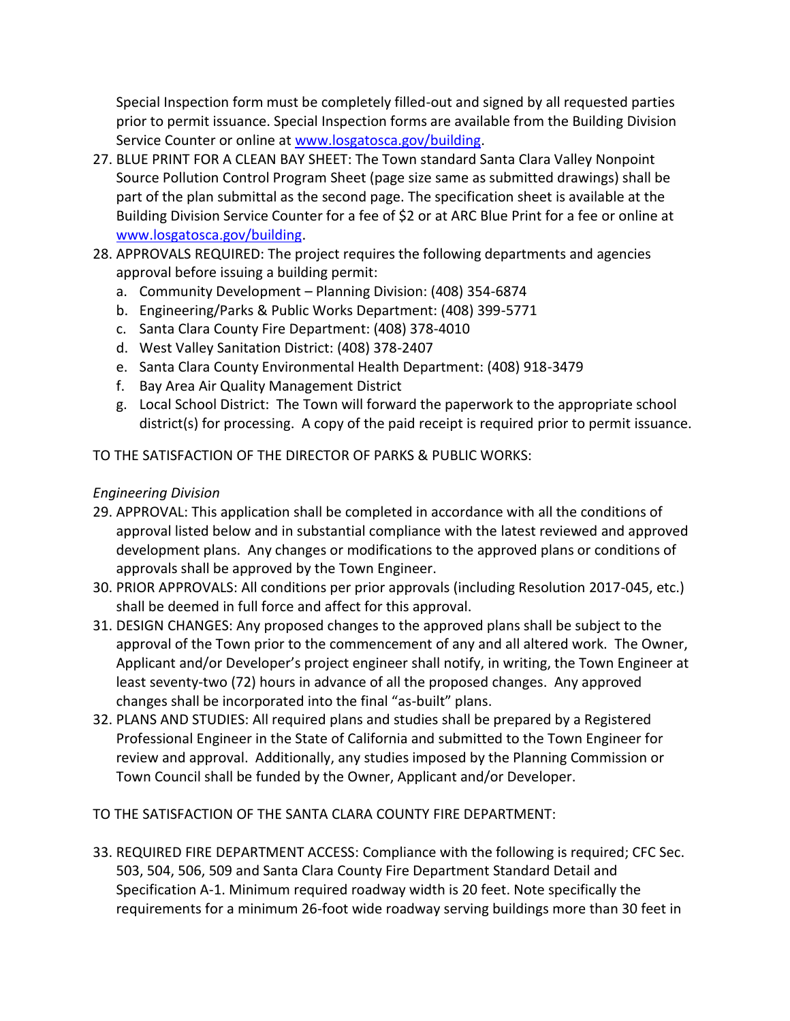Special Inspection form must be completely filled-out and signed by all requested parties prior to permit issuance. Special Inspection forms are available from the Building Division Service Counter or online at [www.losgatosca.gov/building.](http://www.losgatosca.gov/building)

- 27. BLUE PRINT FOR A CLEAN BAY SHEET: The Town standard Santa Clara Valley Nonpoint Source Pollution Control Program Sheet (page size same as submitted drawings) shall be part of the plan submittal as the second page. The specification sheet is available at the Building Division Service Counter for a fee of \$2 or at ARC Blue Print for a fee or online at [www.losgatosca.gov/building.](http://www.losgatosca.gov/building)
- 28. APPROVALS REQUIRED: The project requires the following departments and agencies approval before issuing a building permit:
	- a. Community Development Planning Division: (408) 354-6874
	- b. Engineering/Parks & Public Works Department: (408) 399-5771
	- c. Santa Clara County Fire Department: (408) 378-4010
	- d. West Valley Sanitation District: (408) 378-2407
	- e. Santa Clara County Environmental Health Department: (408) 918-3479
	- f. Bay Area Air Quality Management District
	- g. Local School District: The Town will forward the paperwork to the appropriate school district(s) for processing. A copy of the paid receipt is required prior to permit issuance.

TO THE SATISFACTION OF THE DIRECTOR OF PARKS & PUBLIC WORKS:

# *Engineering Division*

- 29. APPROVAL: This application shall be completed in accordance with all the conditions of approval listed below and in substantial compliance with the latest reviewed and approved development plans. Any changes or modifications to the approved plans or conditions of approvals shall be approved by the Town Engineer.
- 30. PRIOR APPROVALS: All conditions per prior approvals (including Resolution 2017-045, etc.) shall be deemed in full force and affect for this approval.
- 31. DESIGN CHANGES: Any proposed changes to the approved plans shall be subject to the approval of the Town prior to the commencement of any and all altered work. The Owner, Applicant and/or Developer's project engineer shall notify, in writing, the Town Engineer at least seventy-two (72) hours in advance of all the proposed changes. Any approved changes shall be incorporated into the final "as-built" plans.
- 32. PLANS AND STUDIES: All required plans and studies shall be prepared by a Registered Professional Engineer in the State of California and submitted to the Town Engineer for review and approval. Additionally, any studies imposed by the Planning Commission or Town Council shall be funded by the Owner, Applicant and/or Developer.

TO THE SATISFACTION OF THE SANTA CLARA COUNTY FIRE DEPARTMENT:

33. REQUIRED FIRE DEPARTMENT ACCESS: Compliance with the following is required; CFC Sec. 503, 504, 506, 509 and Santa Clara County Fire Department Standard Detail and Specification A-1. Minimum required roadway width is 20 feet. Note specifically the requirements for a minimum 26-foot wide roadway serving buildings more than 30 feet in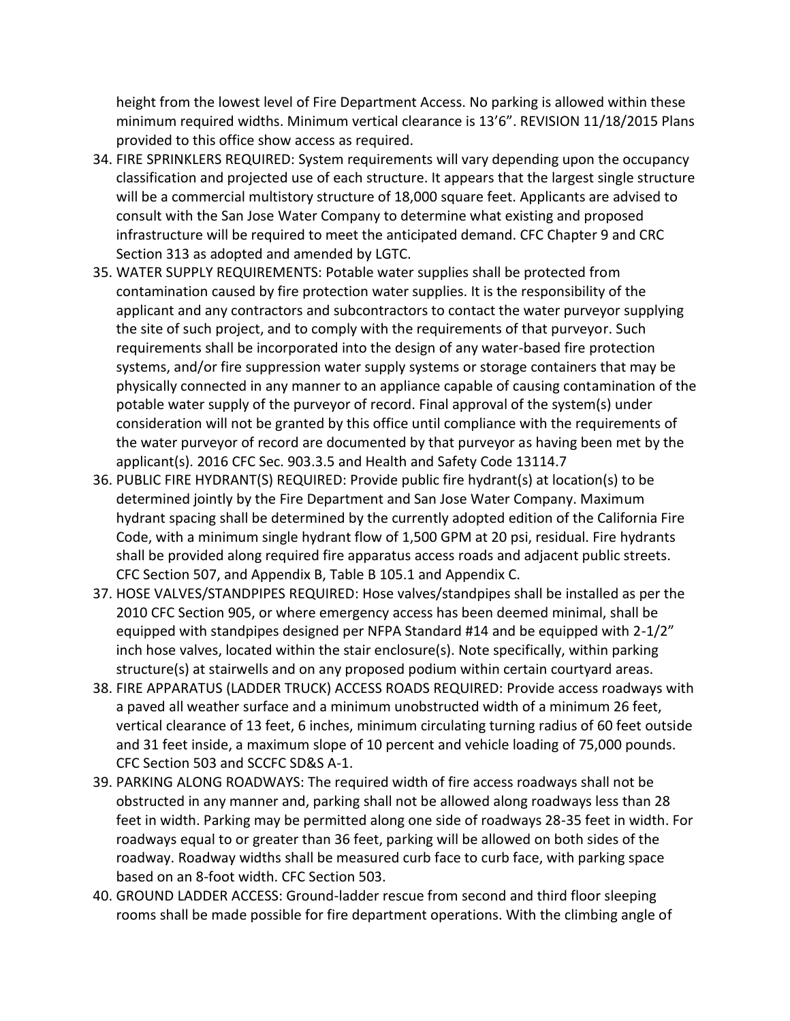height from the lowest level of Fire Department Access. No parking is allowed within these minimum required widths. Minimum vertical clearance is 13'6". REVISION 11/18/2015 Plans provided to this office show access as required.

- 34. FIRE SPRINKLERS REQUIRED: System requirements will vary depending upon the occupancy classification and projected use of each structure. It appears that the largest single structure will be a commercial multistory structure of 18,000 square feet. Applicants are advised to consult with the San Jose Water Company to determine what existing and proposed infrastructure will be required to meet the anticipated demand. CFC Chapter 9 and CRC Section 313 as adopted and amended by LGTC.
- 35. WATER SUPPLY REQUIREMENTS: Potable water supplies shall be protected from contamination caused by fire protection water supplies. It is the responsibility of the applicant and any contractors and subcontractors to contact the water purveyor supplying the site of such project, and to comply with the requirements of that purveyor. Such requirements shall be incorporated into the design of any water-based fire protection systems, and/or fire suppression water supply systems or storage containers that may be physically connected in any manner to an appliance capable of causing contamination of the potable water supply of the purveyor of record. Final approval of the system(s) under consideration will not be granted by this office until compliance with the requirements of the water purveyor of record are documented by that purveyor as having been met by the applicant(s). 2016 CFC Sec. 903.3.5 and Health and Safety Code 13114.7
- 36. PUBLIC FIRE HYDRANT(S) REQUIRED: Provide public fire hydrant(s) at location(s) to be determined jointly by the Fire Department and San Jose Water Company. Maximum hydrant spacing shall be determined by the currently adopted edition of the California Fire Code, with a minimum single hydrant flow of 1,500 GPM at 20 psi, residual. Fire hydrants shall be provided along required fire apparatus access roads and adjacent public streets. CFC Section 507, and Appendix B, Table B 105.1 and Appendix C.
- 37. HOSE VALVES/STANDPIPES REQUIRED: Hose valves/standpipes shall be installed as per the 2010 CFC Section 905, or where emergency access has been deemed minimal, shall be equipped with standpipes designed per NFPA Standard #14 and be equipped with 2-1/2" inch hose valves, located within the stair enclosure(s). Note specifically, within parking structure(s) at stairwells and on any proposed podium within certain courtyard areas.
- 38. FIRE APPARATUS (LADDER TRUCK) ACCESS ROADS REQUIRED: Provide access roadways with a paved all weather surface and a minimum unobstructed width of a minimum 26 feet, vertical clearance of 13 feet, 6 inches, minimum circulating turning radius of 60 feet outside and 31 feet inside, a maximum slope of 10 percent and vehicle loading of 75,000 pounds. CFC Section 503 and SCCFC SD&S A-1.
- 39. PARKING ALONG ROADWAYS: The required width of fire access roadways shall not be obstructed in any manner and, parking shall not be allowed along roadways less than 28 feet in width. Parking may be permitted along one side of roadways 28-35 feet in width. For roadways equal to or greater than 36 feet, parking will be allowed on both sides of the roadway. Roadway widths shall be measured curb face to curb face, with parking space based on an 8-foot width. CFC Section 503.
- 40. GROUND LADDER ACCESS: Ground-ladder rescue from second and third floor sleeping rooms shall be made possible for fire department operations. With the climbing angle of